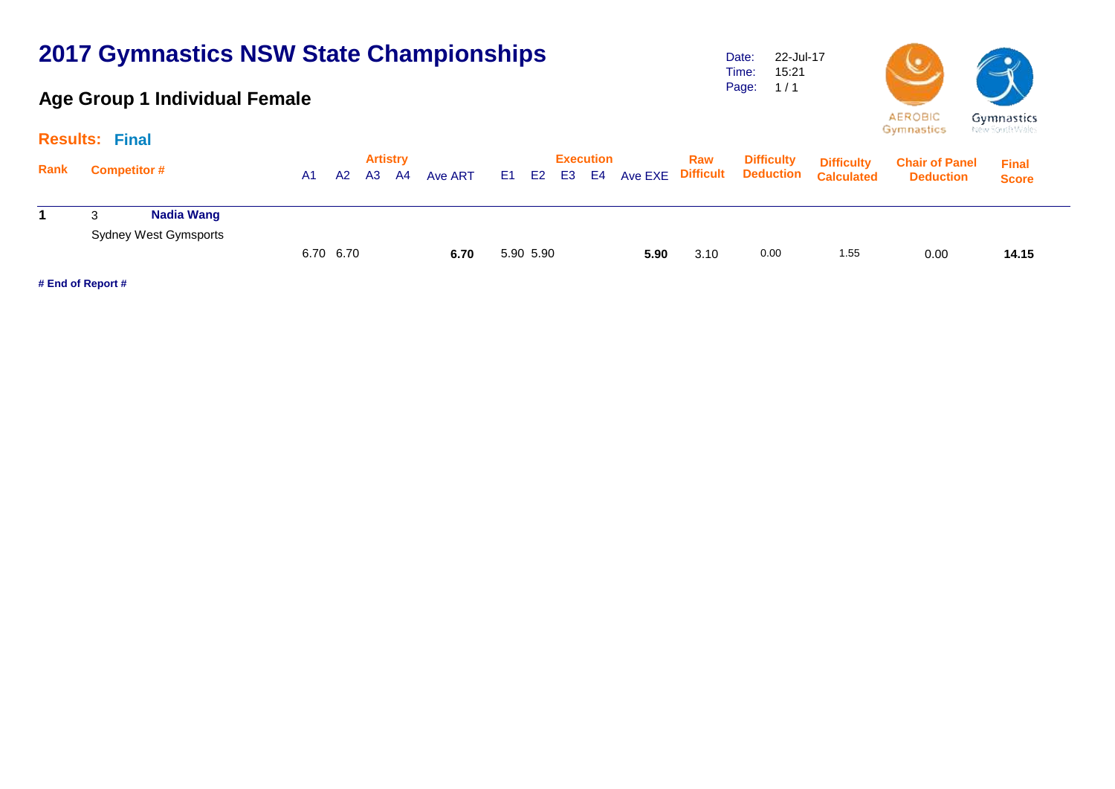# **2017 Gymnastics NSW State Championships**

## **Age Group 1 Individual Female**

Date: Time: Page: 22-Jul-17 15:21  $1/1$ 



| <b>Gymnastics</b> |  |
|-------------------|--|
| tew South Wales   |  |

|                             | <b>Results: Final</b>        |                      |  |                                        |  |                                            |  |           |  |  |                         |                                                  |                   | the first parties are able to             |                              |       |
|-----------------------------|------------------------------|----------------------|--|----------------------------------------|--|--------------------------------------------|--|-----------|--|--|-------------------------|--------------------------------------------------|-------------------|-------------------------------------------|------------------------------|-------|
| Rank<br><b>Competitor #</b> |                              | A2<br>A <sub>1</sub> |  | <b>Artistry</b><br>A3<br>A4<br>Ave ART |  | <b>Execution</b><br>Ave EXE<br>E1 E2 E3 E4 |  |           |  |  | Raw<br><b>Difficult</b> | <b>Difficulty</b><br><b>Deduction Calculated</b> | <b>Difficulty</b> | <b>Chair of Panel</b><br><b>Deduction</b> | <b>Final</b><br><b>Score</b> |       |
|                             | Nadia Wang                   |                      |  |                                        |  |                                            |  |           |  |  |                         |                                                  |                   |                                           |                              |       |
|                             | <b>Sydney West Gymsports</b> | 6.70 6.70            |  |                                        |  | 6.70                                       |  | 5.90 5.90 |  |  | 5.90                    | 3.10                                             | 0.00              | 1.55                                      | 0.00                         | 14.15 |

**# End of Report #**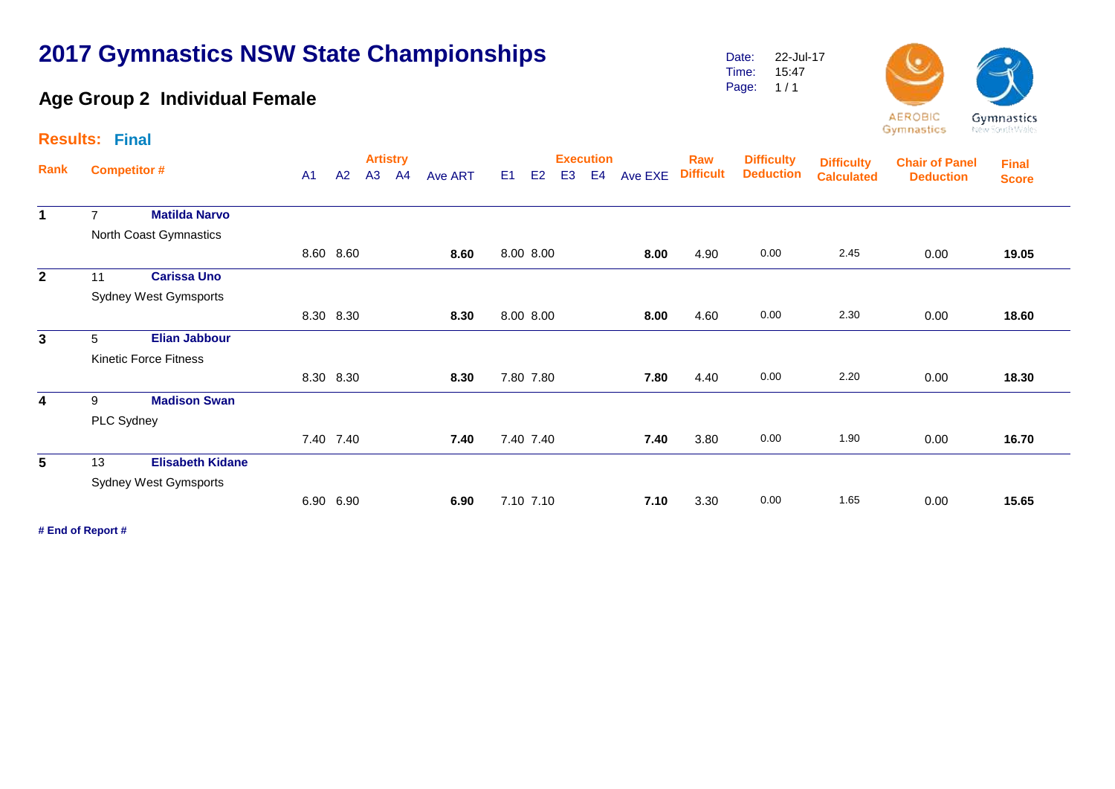# **2017 Gymnastics NSW State Championships**

## **Age Group 2 Individual Female**

Date: Time: Page: 1 / 1 22-Jul-17 15:47



Gymnastics

| Gymnastics     |
|----------------|
| New South Wale |
|                |

|                         | <b>Results: Final</b> |                              |  |           |                       |    |         |                |                |                |                                    |         |                         |                                       |                                        |                                           |                              |  |
|-------------------------|-----------------------|------------------------------|--|-----------|-----------------------|----|---------|----------------|----------------|----------------|------------------------------------|---------|-------------------------|---------------------------------------|----------------------------------------|-------------------------------------------|------------------------------|--|
| Rank                    | <b>Competitor #</b>   |                              |  | A2        | <b>Artistry</b><br>A3 | A4 | Ave ART | E <sub>1</sub> | E <sub>2</sub> | E <sub>3</sub> | <b>Execution</b><br>E <sub>4</sub> | Ave EXE | Raw<br><b>Difficult</b> | <b>Difficulty</b><br><b>Deduction</b> | <b>Difficulty</b><br><b>Calculated</b> | <b>Chair of Panel</b><br><b>Deduction</b> | <b>Final</b><br><b>Score</b> |  |
| $\mathbf{1}$            | $\overline{7}$        | <b>Matilda Narvo</b>         |  |           |                       |    |         |                |                |                |                                    |         |                         |                                       |                                        |                                           |                              |  |
|                         |                       | North Coast Gymnastics       |  |           |                       |    |         |                |                |                |                                    |         |                         |                                       |                                        |                                           |                              |  |
|                         |                       |                              |  | 8.60 8.60 |                       |    | 8.60    |                | 8.00 8.00      |                |                                    | 8.00    | 4.90                    | 0.00                                  | 2.45                                   | 0.00                                      | 19.05                        |  |
| $\overline{2}$          | 11                    | <b>Carissa Uno</b>           |  |           |                       |    |         |                |                |                |                                    |         |                         |                                       |                                        |                                           |                              |  |
|                         |                       | <b>Sydney West Gymsports</b> |  |           |                       |    |         |                |                |                |                                    |         |                         |                                       |                                        |                                           |                              |  |
|                         |                       |                              |  | 8.30 8.30 |                       |    | 8.30    |                | 8.00 8.00      |                |                                    | 8.00    | 4.60                    | 0.00                                  | 2.30                                   | 0.00                                      | 18.60                        |  |
| $\mathbf{3}$            | 5                     | <b>Elian Jabbour</b>         |  |           |                       |    |         |                |                |                |                                    |         |                         |                                       |                                        |                                           |                              |  |
|                         |                       | <b>Kinetic Force Fitness</b> |  |           |                       |    |         |                |                |                |                                    |         |                         |                                       |                                        |                                           |                              |  |
|                         |                       |                              |  | 8.30 8.30 |                       |    | 8.30    |                | 7.80 7.80      |                |                                    | 7.80    | 4.40                    | 0.00                                  | 2.20                                   | 0.00                                      | 18.30                        |  |
| $\overline{\mathbf{4}}$ | 9                     | <b>Madison Swan</b>          |  |           |                       |    |         |                |                |                |                                    |         |                         |                                       |                                        |                                           |                              |  |
|                         | PLC Sydney            |                              |  |           |                       |    |         |                |                |                |                                    |         |                         |                                       |                                        |                                           |                              |  |
|                         |                       |                              |  | 7.40 7.40 |                       |    | 7.40    |                | 7.40 7.40      |                |                                    | 7.40    | 3.80                    | 0.00                                  | 1.90                                   | 0.00                                      | 16.70                        |  |
| $5\phantom{.0}$         | 13                    | <b>Elisabeth Kidane</b>      |  |           |                       |    |         |                |                |                |                                    |         |                         |                                       |                                        |                                           |                              |  |
|                         |                       | <b>Sydney West Gymsports</b> |  |           |                       |    |         |                |                |                |                                    |         |                         |                                       |                                        |                                           |                              |  |
|                         |                       |                              |  | 6.90 6.90 |                       |    | 6.90    |                | 7.10 7.10      |                |                                    | 7.10    | 3.30                    | 0.00                                  | 1.65                                   | 0.00                                      | 15.65                        |  |

**# End of Report #**